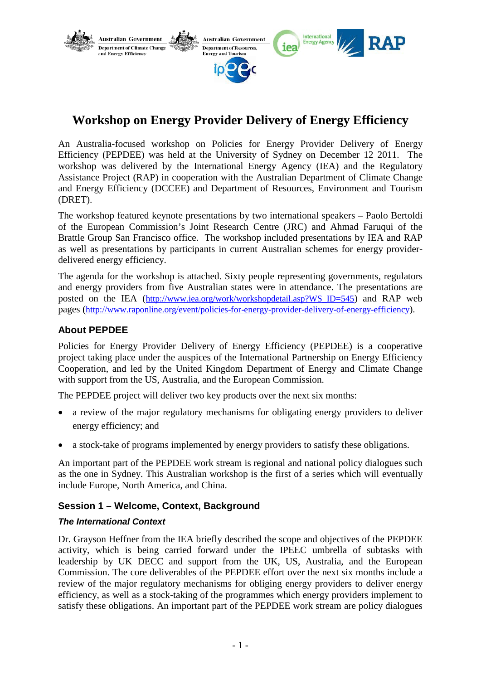

# **Workshop on Energy Provider Delivery of Energy Efficiency**

An Australia-focused workshop on Policies for Energy Provider Delivery of Energy Efficiency (PEPDEE) was held at the University of Sydney on December 12 2011. The workshop was delivered by the International Energy Agency (IEA) and the Regulatory Assistance Project (RAP) in cooperation with the Australian Department of Climate Change and Energy Efficiency (DCCEE) and Department of Resources, Environment and Tourism (DRET).

The workshop featured keynote presentations by two international speakers – Paolo Bertoldi of the European Commission's Joint Research Centre (JRC) and Ahmad Faruqui of the Brattle Group San Francisco office. The workshop included presentations by IEA and RAP as well as presentations by participants in current Australian schemes for energy providerdelivered energy efficiency.

The agenda for the workshop is attached. Sixty people representing governments, regulators and energy providers from five Australian states were in attendance. The presentations are posted on the IEA [\(http://www.iea.org/work/workshopdetail.asp?WS\\_ID=545\)](http://www.iea.org/work/workshopdetail.asp?WS_ID=545) and RAP web pages [\(http://www.raponline.org/event/policies-for-energy-provider-delivery-of-energy-efficiency\)](http://www.raponline.org/event/policies-for-energy-provider-delivery-of-energy-efficiency).

# **About PEPDEE**

Policies for Energy Provider Delivery of Energy Efficiency (PEPDEE) is a cooperative project taking place under the auspices of the International Partnership on Energy Efficiency Cooperation, and led by the United Kingdom Department of Energy and Climate Change with support from the US, Australia, and the European Commission.

The PEPDEE project will deliver two key products over the next six months:

- a review of the major regulatory mechanisms for obligating energy providers to deliver energy efficiency; and
- a stock-take of programs implemented by energy providers to satisfy these obligations.

An important part of the PEPDEE work stream is regional and national policy dialogues such as the one in Sydney. This Australian workshop is the first of a series which will eventually include Europe, North America, and China.

# **Session 1 – Welcome, Context, Background**

#### *The International Context*

Dr. Grayson Heffner from the IEA briefly described the scope and objectives of the PEPDEE activity, which is being carried forward under the IPEEC umbrella of subtasks with leadership by UK DECC and support from the UK, US, Australia, and the European Commission. The core deliverables of the PEPDEE effort over the next six months include a review of the major regulatory mechanisms for obliging energy providers to deliver energy efficiency, as well as a stock-taking of the programmes which energy providers implement to satisfy these obligations. An important part of the PEPDEE work stream are policy dialogues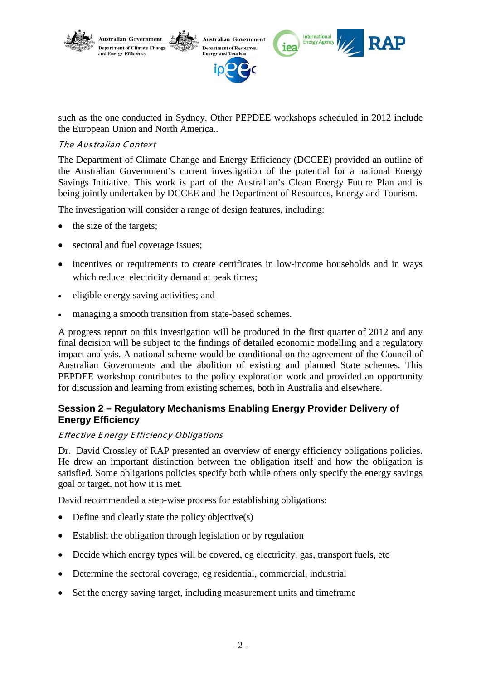

such as the one conducted in Sydney. Other PEPDEE workshops scheduled in 2012 include the European Union and North America..

#### The Aus tralian C ontext

The Department of Climate Change and Energy Efficiency (DCCEE) provided an outline of the Australian Government's current investigation of the potential for a national Energy Savings Initiative. This work is part of the Australian's Clean Energy Future Plan and is being jointly undertaken by DCCEE and the Department of Resources, Energy and Tourism.

The investigation will consider a range of design features, including:

- the size of the targets;
- sectoral and fuel coverage issues;
- incentives or requirements to create certificates in low-income households and in ways which reduce electricity demand at peak times;
- eligible energy saving activities; and
- managing a smooth transition from state-based schemes.

A progress report on this investigation will be produced in the first quarter of 2012 and any final decision will be subject to the findings of detailed economic modelling and a regulatory impact analysis. A national scheme would be conditional on the agreement of the Council of Australian Governments and the abolition of existing and planned State schemes. This PEPDEE workshop contributes to the policy exploration work and provided an opportunity for discussion and learning from existing schemes, both in Australia and elsewhere.

# **Session 2 – Regulatory Mechanisms Enabling Energy Provider Delivery of Energy Efficiency**

#### **Effective Energy Efficiency Obligations**

Dr. David Crossley of RAP presented an overview of energy efficiency obligations policies. He drew an important distinction between the obligation itself and how the obligation is satisfied. Some obligations policies specify both while others only specify the energy savings goal or target, not how it is met.

David recommended a step-wise process for establishing obligations:

- Define and clearly state the policy objective $(s)$
- Establish the obligation through legislation or by regulation
- Decide which energy types will be covered, eg electricity, gas, transport fuels, etc
- Determine the sectoral coverage, eg residential, commercial, industrial
- Set the energy saving target, including measurement units and timeframe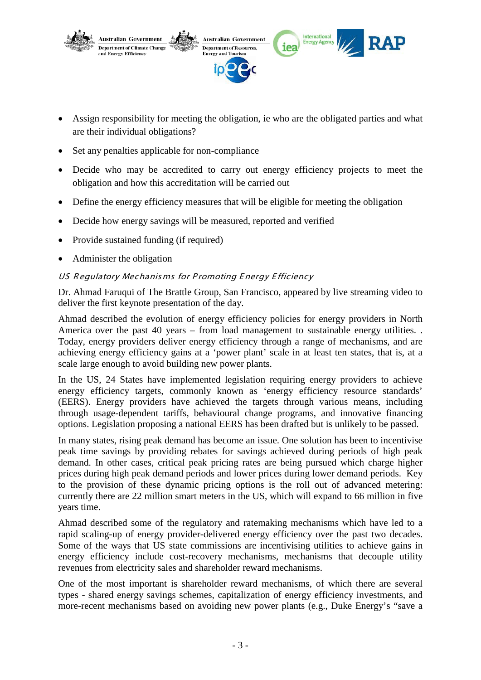

- Assign responsibility for meeting the obligation, ie who are the obligated parties and what are their individual obligations?
- Set any penalties applicable for non-compliance
- Decide who may be accredited to carry out energy efficiency projects to meet the obligation and how this accreditation will be carried out
- Define the energy efficiency measures that will be eligible for meeting the obligation
- Decide how energy savings will be measured, reported and verified
- Provide sustained funding (if required)
- Administer the obligation

### US Regulatory Mechanisms for Promoting Energy Efficiency

Dr. Ahmad Faruqui of The Brattle Group, San Francisco, appeared by live streaming video to deliver the first keynote presentation of the day.

Ahmad described the evolution of energy efficiency policies for energy providers in North America over the past 40 years – from load management to sustainable energy utilities. . Today, energy providers deliver energy efficiency through a range of mechanisms, and are achieving energy efficiency gains at a 'power plant' scale in at least ten states, that is, at a scale large enough to avoid building new power plants.

In the US, 24 States have implemented legislation requiring energy providers to achieve energy efficiency targets, commonly known as 'energy efficiency resource standards' (EERS). Energy providers have achieved the targets through various means, including through usage-dependent tariffs, behavioural change programs, and innovative financing options. Legislation proposing a national EERS has been drafted but is unlikely to be passed.

In many states, rising peak demand has become an issue. One solution has been to incentivise peak time savings by providing rebates for savings achieved during periods of high peak demand. In other cases, critical peak pricing rates are being pursued which charge higher prices during high peak demand periods and lower prices during lower demand periods. Key to the provision of these dynamic pricing options is the roll out of advanced metering: currently there are 22 million smart meters in the US, which will expand to 66 million in five years time.

Ahmad described some of the regulatory and ratemaking mechanisms which have led to a rapid scaling-up of energy provider-delivered energy efficiency over the past two decades. Some of the ways that US state commissions are incentivising utilities to achieve gains in energy efficiency include cost-recovery mechanisms, mechanisms that decouple utility revenues from electricity sales and shareholder reward mechanisms.

One of the most important is shareholder reward mechanisms, of which there are several types - shared energy savings schemes, capitalization of energy efficiency investments, and more-recent mechanisms based on avoiding new power plants (e.g., Duke Energy's "save a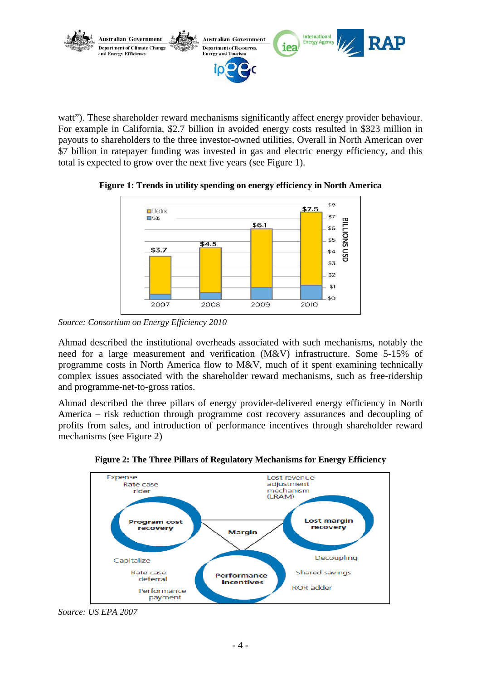

watt"). These shareholder reward mechanisms significantly affect energy provider behaviour. For example in California, \$2.7 billion in avoided energy costs resulted in \$323 million in payouts to shareholders to the three investor-owned utilities. Overall in North American over \$7 billion in ratepayer funding was invested in gas and electric energy efficiency, and this total is expected to grow over the next five years (see [Figure 1\)](#page-3-0).



<span id="page-3-0"></span>**Figure 1: Trends in utility spending on energy efficiency in North America**

Ahmad described the institutional overheads associated with such mechanisms, notably the need for a large measurement and verification (M&V) infrastructure. Some 5-15% of programme costs in North America flow to M&V, much of it spent examining technically complex issues associated with the shareholder reward mechanisms, such as free-ridership and programme-net-to-gross ratios.

Ahmad described the three pillars of energy provider-delivered energy efficiency in North America – risk reduction through programme cost recovery assurances and decoupling of profits from sales, and introduction of performance incentives through shareholder reward mechanisms (see [Figure 2\)](#page-3-1)

<span id="page-3-1"></span>



*Source: Consortium on Energy Efficiency 2010*

*Source: US EPA 2007*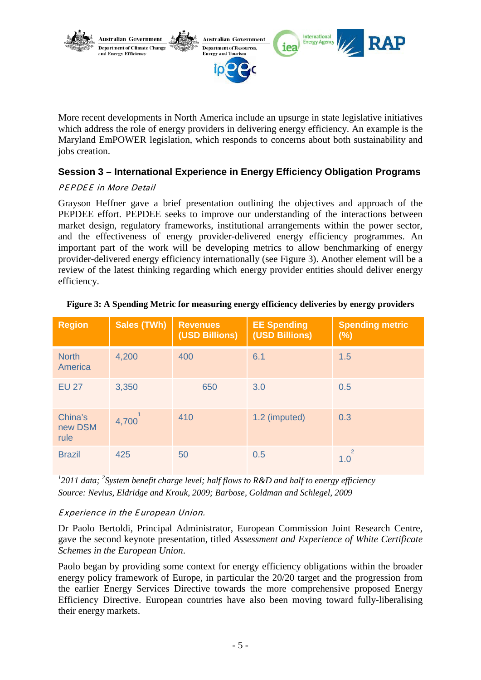

More recent developments in North America include an upsurge in state legislative initiatives which address the role of energy providers in delivering energy efficiency. An example is the Maryland EmPOWER legislation, which responds to concerns about both sustainability and jobs creation.

# **Session 3 – International Experience in Energy Efficiency Obligation Programs**

### PEPDEE in More Detail

Grayson Heffner gave a brief presentation outlining the objectives and approach of the PEPDEE effort. PEPDEE seeks to improve our understanding of the interactions between market design, regulatory frameworks, institutional arrangements within the power sector, and the effectiveness of energy provider-delivered energy efficiency programmes. An important part of the work will be developing metrics to allow benchmarking of energy provider-delivered energy efficiency internationally (see [Figure 3\)](#page-4-0). Another element will be a review of the latest thinking regarding which energy provider entities should deliver energy efficiency.

| <b>Region</b>              | <b>Sales (TWh)</b> | <b>Revenues</b><br>(USD Billions) | <b>EE Spending</b><br>(USD Billions) | <b>Spending metric</b><br>(%) |
|----------------------------|--------------------|-----------------------------------|--------------------------------------|-------------------------------|
| <b>North</b><br>America    | 4,200              | 400                               | 6.1                                  | 1.5                           |
| <b>EU 27</b>               | 3,350              | 650                               | 3.0                                  | 0.5                           |
| China's<br>new DSM<br>rule | 4,700              | 410                               | 1.2 (imputed)                        | 0.3                           |
| <b>Brazil</b>              | 425                | 50                                | 0.5                                  | $\overline{2}$<br>1.0         |

#### <span id="page-4-0"></span>**Figure 3: A Spending Metric for measuring energy efficiency deliveries by energy providers**

<sup>1</sup> 2011 data; <sup>2</sup> System benefit charge level; half flows to R&D and half to energy efficiency *Source: Nevius, Eldridge and Krouk, 2009; Barbose, Goldman and Schlegel, 2009*

#### E xperience in the E uropean Union.

Dr Paolo Bertoldi, Principal Administrator, European Commission Joint Research Centre, gave the second keynote presentation, titled *Assessment and Experience of White Certificate Schemes in the European Union*.

Paolo began by providing some context for energy efficiency obligations within the broader energy policy framework of Europe, in particular the 20/20 target and the progression from the earlier Energy Services Directive towards the more comprehensive proposed Energy Efficiency Directive. European countries have also been moving toward fully-liberalising their energy markets.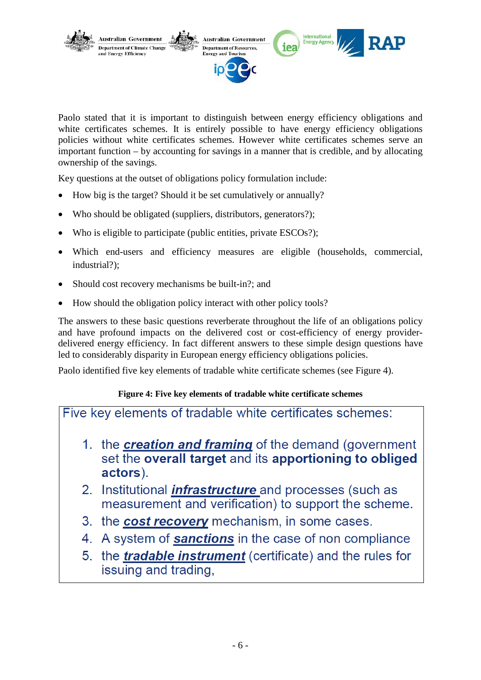

Paolo stated that it is important to distinguish between energy efficiency obligations and white certificates schemes. It is entirely possible to have energy efficiency obligations policies without white certificates schemes. However white certificates schemes serve an important function – by accounting for savings in a manner that is credible, and by allocating ownership of the savings.

Key questions at the outset of obligations policy formulation include:

- How big is the target? Should it be set cumulatively or annually?
- Who should be obligated (suppliers, distributors, generators?);
- Who is eligible to participate (public entities, private ESCOs?);
- Which end-users and efficiency measures are eligible (households, commercial, industrial?);
- Should cost recovery mechanisms be built-in?; and
- How should the obligation policy interact with other policy tools?

The answers to these basic questions reverberate throughout the life of an obligations policy and have profound impacts on the delivered cost or cost-efficiency of energy providerdelivered energy efficiency. In fact different answers to these simple design questions have led to considerably disparity in European energy efficiency obligations policies.

Paolo identified five key elements of tradable white certificate schemes (see Figure 4).

# **Figure 4: Five key elements of tradable white certificate schemes**

Five key elements of tradable white certificates schemes:

- 1. the **creation and framing** of the demand (government set the overall target and its apportioning to obliged actors).
- 2. Institutional *infrastructure* and processes (such as measurement and verification) to support the scheme.
- 3. the cost recovery mechanism, in some cases.
- 4. A system of **sanctions** in the case of non compliance
- 5. the **tradable instrument** (certificate) and the rules for issuing and trading,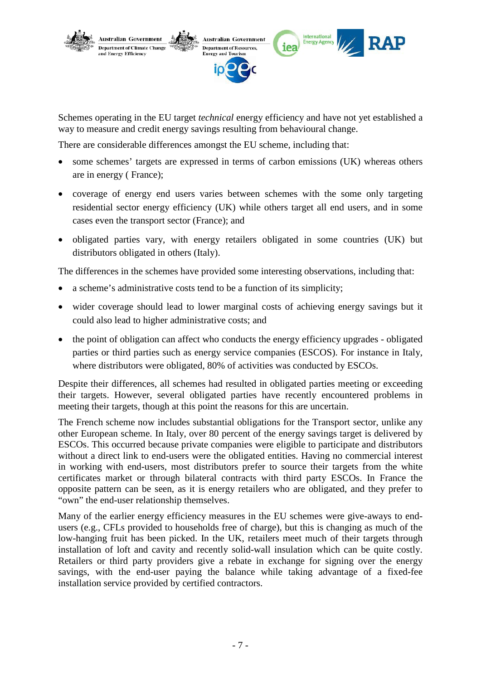

Schemes operating in the EU target *technical* energy efficiency and have not yet established a way to measure and credit energy savings resulting from behavioural change.

There are considerable differences amongst the EU scheme, including that:

- some schemes' targets are expressed in terms of carbon emissions (UK) whereas others are in energy ( France);
- coverage of energy end users varies between schemes with the some only targeting residential sector energy efficiency (UK) while others target all end users, and in some cases even the transport sector (France); and
- obligated parties vary, with energy retailers obligated in some countries (UK) but distributors obligated in others (Italy).

The differences in the schemes have provided some interesting observations, including that:

- a scheme's administrative costs tend to be a function of its simplicity;
- wider coverage should lead to lower marginal costs of achieving energy savings but it could also lead to higher administrative costs; and
- the point of obligation can affect who conducts the energy efficiency upgrades obligated parties or third parties such as energy service companies (ESCOS). For instance in Italy, where distributors were obligated, 80% of activities was conducted by ESCOs.

Despite their differences, all schemes had resulted in obligated parties meeting or exceeding their targets. However, several obligated parties have recently encountered problems in meeting their targets, though at this point the reasons for this are uncertain.

The French scheme now includes substantial obligations for the Transport sector, unlike any other European scheme. In Italy, over 80 percent of the energy savings target is delivered by ESCOs. This occurred because private companies were eligible to participate and distributors without a direct link to end-users were the obligated entities. Having no commercial interest in working with end-users, most distributors prefer to source their targets from the white certificates market or through bilateral contracts with third party ESCOs. In France the opposite pattern can be seen, as it is energy retailers who are obligated, and they prefer to "own" the end-user relationship themselves.

Many of the earlier energy efficiency measures in the EU schemes were give-aways to endusers (e.g., CFLs provided to households free of charge), but this is changing as much of the low-hanging fruit has been picked. In the UK, retailers meet much of their targets through installation of loft and cavity and recently solid-wall insulation which can be quite costly. Retailers or third party providers give a rebate in exchange for signing over the energy savings, with the end-user paying the balance while taking advantage of a fixed-fee installation service provided by certified contractors.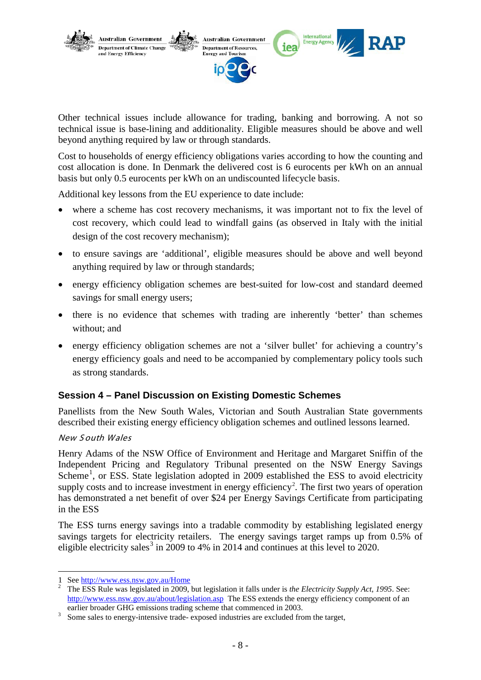

Other technical issues include allowance for trading, banking and borrowing. A not so technical issue is base-lining and additionality. Eligible measures should be above and well beyond anything required by law or through standards.

Cost to households of energy efficiency obligations varies according to how the counting and cost allocation is done. In Denmark the delivered cost is 6 eurocents per kWh on an annual basis but only 0.5 eurocents per kWh on an undiscounted lifecycle basis.

Additional key lessons from the EU experience to date include:

- where a scheme has cost recovery mechanisms, it was important not to fix the level of cost recovery, which could lead to windfall gains (as observed in Italy with the initial design of the cost recovery mechanism);
- to ensure savings are 'additional', eligible measures should be above and well beyond anything required by law or through standards;
- energy efficiency obligation schemes are best-suited for low-cost and standard deemed savings for small energy users;
- there is no evidence that schemes with trading are inherently 'better' than schemes without; and
- energy efficiency obligation schemes are not a 'silver bullet' for achieving a country's energy efficiency goals and need to be accompanied by complementary policy tools such as strong standards.

# **Session 4 – Panel Discussion on Existing Domestic Schemes**

Panellists from the New South Wales, Victorian and South Australian State governments described their existing energy efficiency obligation schemes and outlined lessons learned.

#### New S outh Wales

-

Henry Adams of the NSW Office of Environment and Heritage and Margaret Sniffin of the Independent Pricing and Regulatory Tribunal presented on the NSW Energy Savings Scheme<sup>[1](#page-7-0)</sup>, or ESS. State legislation adopted in 2009 established the ESS to avoid electricity supply costs and to increase investment in energy efficiency<sup>[2](#page-7-1)</sup>. The first two years of operation has demonstrated a net benefit of over \$24 per Energy Savings Certificate from participating in the ESS

The ESS turns energy savings into a tradable commodity by establishing legislated energy savings targets for electricity retailers. The energy savings target ramps up from 0.5% of eligible electricity sales<sup>[3](#page-7-2)</sup> in 2009 to 4% in 2014 and continues at this level to 2020.

<span id="page-7-1"></span><span id="page-7-0"></span><sup>1</sup> See http://www.ess.nsw.gov.au/Home

The ESS Rule was legislated in 2009, but legislation it falls under is *the Electricity Supply Act, 1995*. See: <http://www.ess.nsw.gov.au/about/legislation.asp> The ESS extends the energy efficiency component of an earlier broader GHG emissions trading scheme that commenced in 2003.

<span id="page-7-2"></span>Some sales to energy-intensive trade- exposed industries are excluded from the target,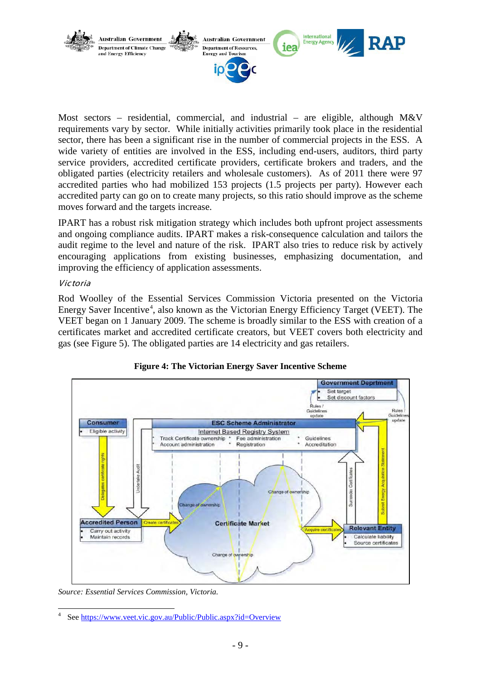

Most sectors – residential, commercial, and industrial – are eligible, although M&V requirements vary by sector. While initially activities primarily took place in the residential sector, there has been a significant rise in the number of commercial projects in the ESS. A wide variety of entities are involved in the ESS, including end-users, auditors, third party service providers, accredited certificate providers, certificate brokers and traders, and the obligated parties (electricity retailers and wholesale customers). As of 2011 there were 97 accredited parties who had mobilized 153 projects (1.5 projects per party). However each accredited party can go on to create many projects, so this ratio should improve as the scheme moves forward and the targets increase.

IPART has a robust risk mitigation strategy which includes both upfront project assessments and ongoing compliance audits. IPART makes a risk-consequence calculation and tailors the audit regime to the level and nature of the risk. IPART also tries to reduce risk by actively encouraging applications from existing businesses, emphasizing documentation, and improving the efficiency of application assessments.

#### Victoria

Rod Woolley of the Essential Services Commission Victoria presented on the Victoria Energy Saver Incentive<sup>[4](#page-8-0)</sup>, also known as the Victorian Energy Efficiency Target (VEET). The gas (see Figure 5). The obligated parties are 14 electricity and gas retailers. VEET began on 1 January 2009. The scheme is broadly similar to the ESS with creation of a certificates market and accredited certificate creators, but VEET covers both electricity and



**Figure 4: The Victorian Energy Saver Incentive Scheme**

*Source: Essential Services Commission, Victoria.*

<span id="page-8-0"></span>See<https://www.veet.vic.gov.au/Public/Public.aspx?id=Overview>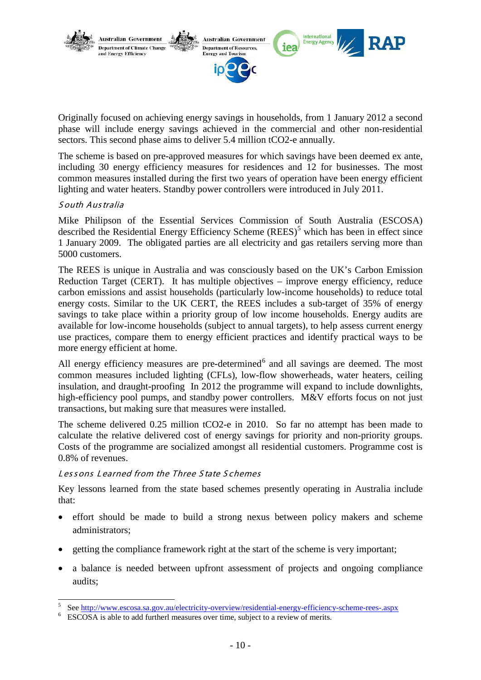

Originally focused on achieving energy savings in households, from 1 January 2012 a second phase will include energy savings achieved in the commercial and other non-residential sectors. This second phase aims to deliver 5.4 million tCO2-e annually.

The scheme is based on pre-approved measures for which savings have been deemed ex ante, including 30 energy efficiency measures for residences and 12 for businesses. The most common measures installed during the first two years of operation have been energy efficient lighting and water heaters. Standby power controllers were introduced in July 2011.

#### S outh Aus tralia

Mike Philipson of the Essential Services Commission of South Australia (ESCOSA) described the Residential Energy Efficiency Scheme  $(REES)$ <sup>[5](#page-9-0)</sup> which has been in effect since 1 January 2009. The obligated parties are all electricity and gas retailers serving more than 5000 customers.

The REES is unique in Australia and was consciously based on the UK's Carbon Emission Reduction Target (CERT). It has multiple objectives – improve energy efficiency, reduce carbon emissions and assist households (particularly low-income households) to reduce total energy costs. Similar to the UK CERT, the REES includes a sub-target of 35% of energy savings to take place within a priority group of low income households. Energy audits are available for low-income households (subject to annual targets), to help assess current energy use practices, compare them to energy efficient practices and identify practical ways to be more energy efficient at home.

All energy efficiency measures are pre-determined $6$  and all savings are deemed. The most common measures included lighting (CFLs), low-flow showerheads, water heaters, ceiling insulation, and draught-proofing In 2012 the programme will expand to include downlights, high-efficiency pool pumps, and standby power controllers. M&V efforts focus on not just transactions, but making sure that measures were installed.

The scheme delivered 0.25 million tCO2-e in 2010. So far no attempt has been made to calculate the relative delivered cost of energy savings for priority and non-priority groups. Costs of the programme are socialized amongst all residential customers. Programme cost is 0.8% of revenues.

#### Lessons Learned from the Three S tate S chemes

Key lessons learned from the state based schemes presently operating in Australia include that:

- effort should be made to build a strong nexus between policy makers and scheme administrators;
- getting the compliance framework right at the start of the scheme is very important;
- a balance is needed between upfront assessment of projects and ongoing compliance audits;

<span id="page-9-0"></span>See<http://www.escosa.sa.gov.au/electricity-overview/residential-energy-efficiency-scheme-rees-.aspx> ESCOSA is able to add furtherl measures over time, subject to a review of merits.

<span id="page-9-1"></span>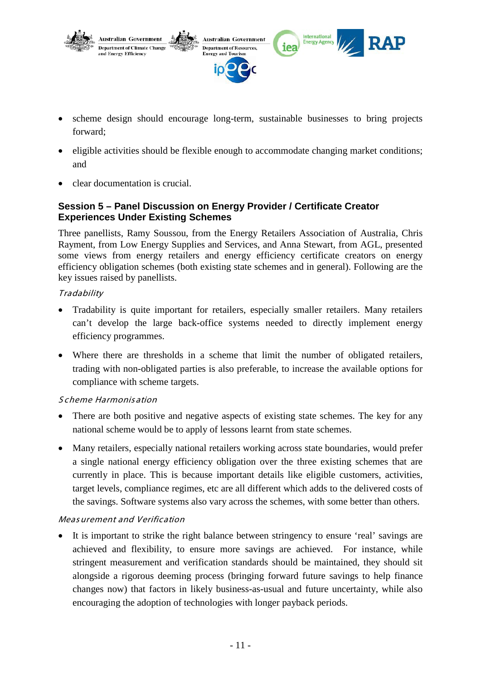

- scheme design should encourage long-term, sustainable businesses to bring projects forward;
- eligible activities should be flexible enough to accommodate changing market conditions; and
- clear documentation is crucial.

# **Session 5 – Panel Discussion on Energy Provider / Certificate Creator Experiences Under Existing Schemes**

Three panellists, Ramy Soussou, from the Energy Retailers Association of Australia, Chris Rayment, from Low Energy Supplies and Services, and Anna Stewart, from AGL, presented some views from energy retailers and energy efficiency certificate creators on energy efficiency obligation schemes (both existing state schemes and in general). Following are the key issues raised by panellists.

### **Tradability**

- Tradability is quite important for retailers, especially smaller retailers. Many retailers can't develop the large back-office systems needed to directly implement energy efficiency programmes.
- Where there are thresholds in a scheme that limit the number of obligated retailers, trading with non-obligated parties is also preferable, to increase the available options for compliance with scheme targets.

#### S cheme Harmonis ation

- There are both positive and negative aspects of existing state schemes. The key for any national scheme would be to apply of lessons learnt from state schemes.
- Many retailers, especially national retailers working across state boundaries, would prefer a single national energy efficiency obligation over the three existing schemes that are currently in place. This is because important details like eligible customers, activities, target levels, compliance regimes, etc are all different which adds to the delivered costs of the savings. Software systems also vary across the schemes, with some better than others.

# Meas urement and Verification

It is important to strike the right balance between stringency to ensure 'real' savings are achieved and flexibility, to ensure more savings are achieved. For instance, while stringent measurement and verification standards should be maintained, they should sit alongside a rigorous deeming process (bringing forward future savings to help finance changes now) that factors in likely business-as-usual and future uncertainty, while also encouraging the adoption of technologies with longer payback periods.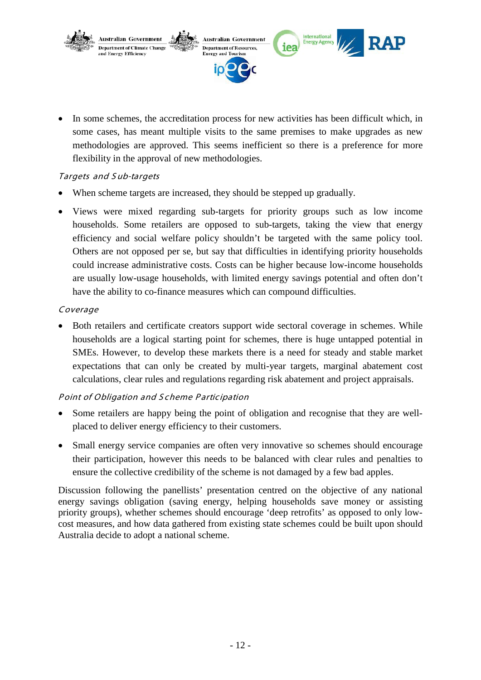

In some schemes, the accreditation process for new activities has been difficult which, in some cases, has meant multiple visits to the same premises to make upgrades as new methodologies are approved. This seems inefficient so there is a preference for more flexibility in the approval of new methodologies.

# Targets and S ub-targets

- When scheme targets are increased, they should be stepped up gradually.
- Views were mixed regarding sub-targets for priority groups such as low income households. Some retailers are opposed to sub-targets, taking the view that energy efficiency and social welfare policy shouldn't be targeted with the same policy tool. Others are not opposed per se, but say that difficulties in identifying priority households could increase administrative costs. Costs can be higher because low-income households are usually low-usage households, with limited energy savings potential and often don't have the ability to co-finance measures which can compound difficulties.

# Coverage

• Both retailers and certificate creators support wide sectoral coverage in schemes. While households are a logical starting point for schemes, there is huge untapped potential in SMEs. However, to develop these markets there is a need for steady and stable market expectations that can only be created by multi-year targets, marginal abatement cost calculations, clear rules and regulations regarding risk abatement and project appraisals.

# Point of Obligation and Scheme Participation

- Some retailers are happy being the point of obligation and recognise that they are wellplaced to deliver energy efficiency to their customers.
- Small energy service companies are often very innovative so schemes should encourage their participation, however this needs to be balanced with clear rules and penalties to ensure the collective credibility of the scheme is not damaged by a few bad apples.

Discussion following the panellists' presentation centred on the objective of any national energy savings obligation (saving energy, helping households save money or assisting priority groups), whether schemes should encourage 'deep retrofits' as opposed to only lowcost measures, and how data gathered from existing state schemes could be built upon should Australia decide to adopt a national scheme.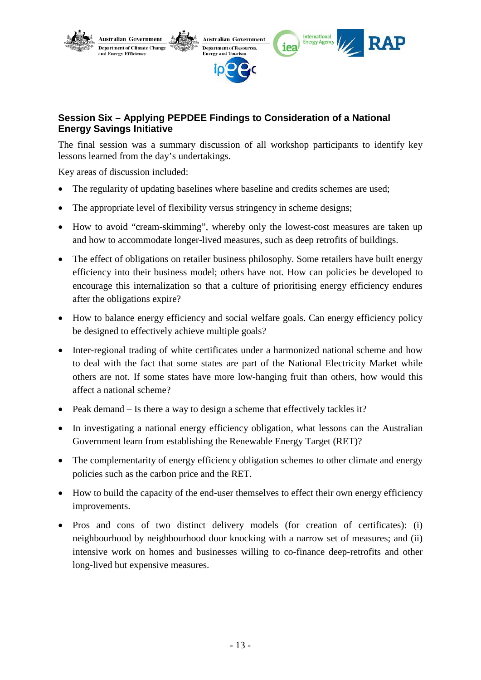

# **Session Six – Applying PEPDEE Findings to Consideration of a National Energy Savings Initiative**

The final session was a summary discussion of all workshop participants to identify key lessons learned from the day's undertakings.

Key areas of discussion included:

- The regularity of updating baselines where baseline and credits schemes are used;
- The appropriate level of flexibility versus stringency in scheme designs;
- How to avoid "cream-skimming", whereby only the lowest-cost measures are taken up and how to accommodate longer-lived measures, such as deep retrofits of buildings.
- The effect of obligations on retailer business philosophy. Some retailers have built energy efficiency into their business model; others have not. How can policies be developed to encourage this internalization so that a culture of prioritising energy efficiency endures after the obligations expire?
- How to balance energy efficiency and social welfare goals. Can energy efficiency policy be designed to effectively achieve multiple goals?
- Inter-regional trading of white certificates under a harmonized national scheme and how to deal with the fact that some states are part of the National Electricity Market while others are not. If some states have more low-hanging fruit than others, how would this affect a national scheme?
- Peak demand Is there a way to design a scheme that effectively tackles it?
- In investigating a national energy efficiency obligation, what lessons can the Australian Government learn from establishing the Renewable Energy Target (RET)?
- The complementarity of energy efficiency obligation schemes to other climate and energy policies such as the carbon price and the RET.
- How to build the capacity of the end-user themselves to effect their own energy efficiency improvements.
- Pros and cons of two distinct delivery models (for creation of certificates): (i) neighbourhood by neighbourhood door knocking with a narrow set of measures; and (ii) intensive work on homes and businesses willing to co-finance deep-retrofits and other long-lived but expensive measures.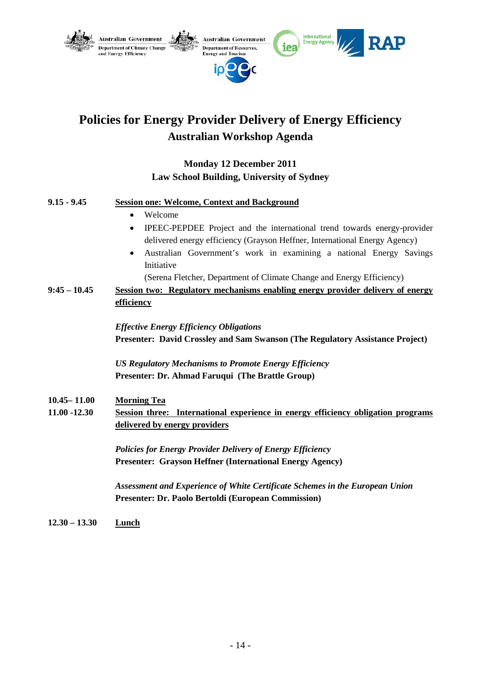

# **Policies for Energy Provider Delivery of Energy Efficiency Australian Workshop Agenda**

# **Monday 12 December 2011 Law School Building, University of Sydney**

#### **9.15 - 9.45 Session one: Welcome, Context and Background**

- Welcome
- IPEEC-PEPDEE Project and the international trend towards energy-provider delivered energy efficiency (Grayson Heffner, International Energy Agency)
- Australian Government's work in examining a national Energy Savings Initiative

(Serena Fletcher, Department of Climate Change and Energy Efficiency)

**9:45 – 10.45 Session two: Regulatory mechanisms enabling energy provider delivery of energy efficiency** 

> *Effective Energy Efficiency Obligations* **Presenter: David Crossley and Sam Swanson (The Regulatory Assistance Project)**

*US Regulatory Mechanisms to Promote Energy Efficiency* **Presenter: Dr. Ahmad Faruqui (The Brattle Group)**

- **10.45– 11.00 Morning Tea**
- **11.00 -12.30 Session three: International experience in energy efficiency obligation programs delivered by energy providers**

*Policies for Energy Provider Delivery of Energy Efficiency* **Presenter: Grayson Heffner (International Energy Agency)**

*Assessment and Experience of White Certificate Schemes in the European Union* **Presenter: Dr. Paolo Bertoldi (European Commission)**

**12.30 – 13.30 Lunch**